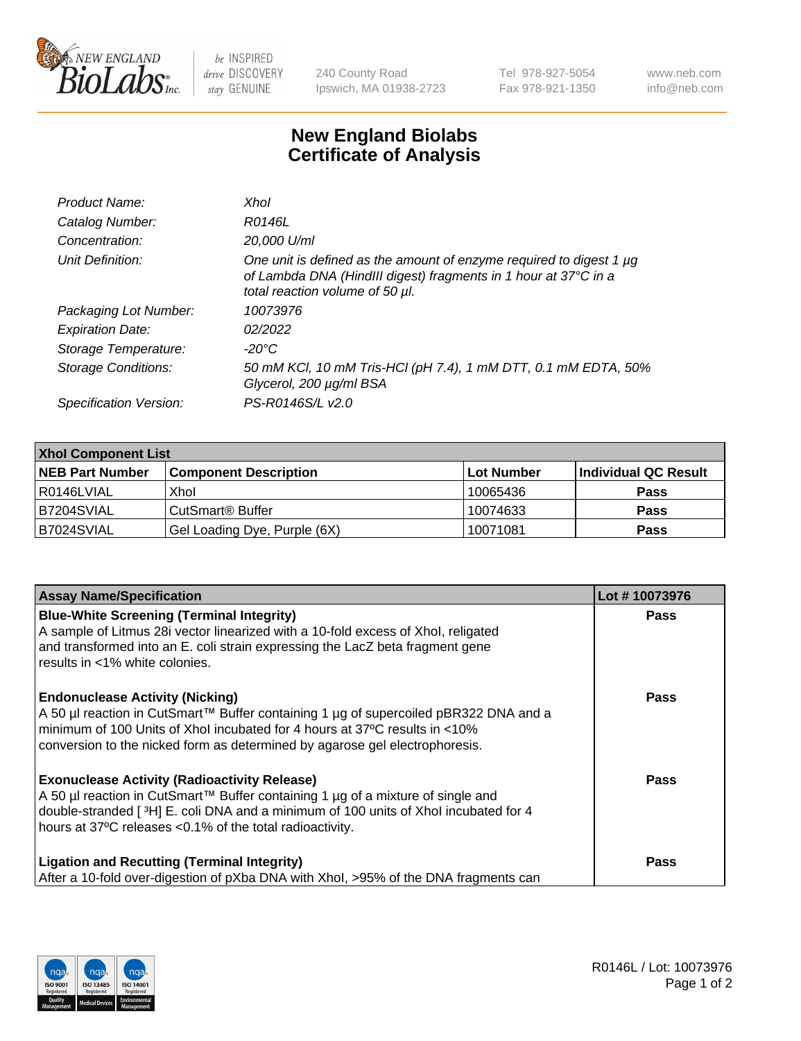

 $be$  INSPIRED drive DISCOVERY stay GENUINE

240 County Road Ipswich, MA 01938-2723 Tel 978-927-5054 Fax 978-921-1350 www.neb.com info@neb.com

## **New England Biolabs Certificate of Analysis**

| Product Name:              | Xhol                                                                                                                                                                      |
|----------------------------|---------------------------------------------------------------------------------------------------------------------------------------------------------------------------|
| Catalog Number:            | R0146L                                                                                                                                                                    |
| Concentration:             | 20,000 U/ml                                                                                                                                                               |
| Unit Definition:           | One unit is defined as the amount of enzyme required to digest 1 µg<br>of Lambda DNA (HindIII digest) fragments in 1 hour at 37°C in a<br>total reaction volume of 50 µl. |
| Packaging Lot Number:      | 10073976                                                                                                                                                                  |
| <b>Expiration Date:</b>    | 02/2022                                                                                                                                                                   |
| Storage Temperature:       | -20°C                                                                                                                                                                     |
| <b>Storage Conditions:</b> | 50 mM KCl, 10 mM Tris-HCl (pH 7.4), 1 mM DTT, 0.1 mM EDTA, 50%<br>Glycerol, 200 µg/ml BSA                                                                                 |
| Specification Version:     | PS-R0146S/L v2.0                                                                                                                                                          |

| <b>Xhol Component List</b> |                              |             |                      |  |  |
|----------------------------|------------------------------|-------------|----------------------|--|--|
| <b>NEB Part Number</b>     | <b>Component Description</b> | ∣Lot Number | Individual QC Result |  |  |
| R0146LVIAL                 | Xhol                         | 10065436    | <b>Pass</b>          |  |  |
| IB7204SVIAL                | CutSmart® Buffer             | 10074633    | <b>Pass</b>          |  |  |
| B7024SVIAL                 | Gel Loading Dye, Purple (6X) | 10071081    | <b>Pass</b>          |  |  |

| <b>Assay Name/Specification</b>                                                                                                                                                                                                    | Lot #10073976 |
|------------------------------------------------------------------------------------------------------------------------------------------------------------------------------------------------------------------------------------|---------------|
| <b>Blue-White Screening (Terminal Integrity)</b><br>A sample of Litmus 28i vector linearized with a 10-fold excess of Xhol, religated<br>and transformed into an E. coli strain expressing the LacZ beta fragment gene             | <b>Pass</b>   |
| results in <1% white colonies.                                                                                                                                                                                                     |               |
| <b>Endonuclease Activity (Nicking)</b><br>A 50 µl reaction in CutSmart™ Buffer containing 1 µg of supercoiled pBR322 DNA and a                                                                                                     | <b>Pass</b>   |
| minimum of 100 Units of Xhol incubated for 4 hours at 37°C results in <10%<br>conversion to the nicked form as determined by agarose gel electrophoresis.                                                                          |               |
| <b>Exonuclease Activity (Radioactivity Release)</b>                                                                                                                                                                                | <b>Pass</b>   |
| A 50 µl reaction in CutSmart™ Buffer containing 1 µg of a mixture of single and<br>double-stranded [3H] E. coli DNA and a minimum of 100 units of Xhol incubated for 4<br>hours at 37°C releases <0.1% of the total radioactivity. |               |
| <b>Ligation and Recutting (Terminal Integrity)</b><br>After a 10-fold over-digestion of pXba DNA with Xhol, >95% of the DNA fragments can                                                                                          | <b>Pass</b>   |